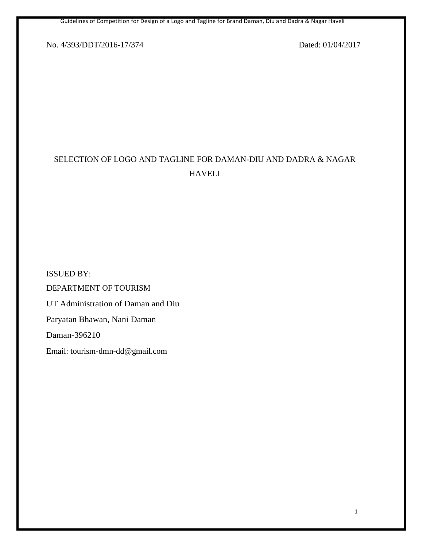Guidelines of Competition for Design of a Logo and Tagline for Brand Daman, Diu and Dadra & Nagar Haveli

No. 4/393/DDT/2016-17/374 Dated: 01/04/2017

# SELECTION OF LOGO AND TAGLINE FOR DAMAN-DIU AND DADRA & NAGAR HAVELI

ISSUED BY: DEPARTMENT OF TOURISM UT Administration of Daman and Diu Paryatan Bhawan, Nani Daman Daman-396210 Email: tourism-dmn-dd@gmail.com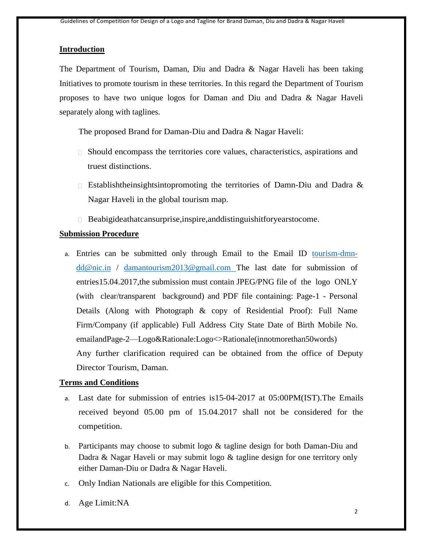#### **Introduction**

The Department of Tourism, Daman, Diu and Dadra & Nagar Haveli has been taking Initiatives to promote tourism in these territories. In this regard the Department of Tourism proposes to have two unique logos for Daman and Diu and Dadra & Nagar Haveli separately along with taglines.

The proposed Brand for Daman-Diu and Dadra & Nagar Haveli:

- Should encompass the territories core values, characteristics, aspirations and truest distinctions.
- **Establishtheinsightsintopromoting the territories of Damn-Diu and Dadra &** Nagar Haveli in the global tourism map.
- Beabigideathatcansurprise,inspire,anddistinguishitforyearstocome.

### **Submission Procedure**

a. Entries can be submitted only through Email to the Email ID [tourism-dmn](mailto:tourism-dmn-dd@nic.in)[dd@nic.in](mailto:tourism-dmn-dd@nic.in) / [damantourism2013@gmail.com](mailto:damantourism2013@gmail.com) The last date for submission of entries15.04.2017,the submission must contain JPEG/PNG file of the logo ONLY (with clear/transparent background) and PDF file containing: Page-1 - Personal Details (Along with Photograph & copy of Residential Proof): Full Name Firm/Company (if applicable) Full Address City State Date of Birth Mobile No. emailandPage-2—Logo&Rationale:Logo<>Rationale(innotmorethan50words) Any further clarification required can be obtained from the office of Deputy Director Tourism, Daman.

### **Terms and Conditions**

- a. Last date for submission of entries is15-04-2017 at 05:00PM(IST).The Emails received beyond 05.00 pm of 15.04.2017 shall not be considered for the competition.
- b. Participants may choose to submit logo & tagline design for both Daman-Diu and Dadra & Nagar Haveli or may submit logo & tagline design for one territory only either Daman-Diu or Dadra & Nagar Haveli.
- c. Only Indian Nationals are eligible for this Competition.
- d. Age Limit:NA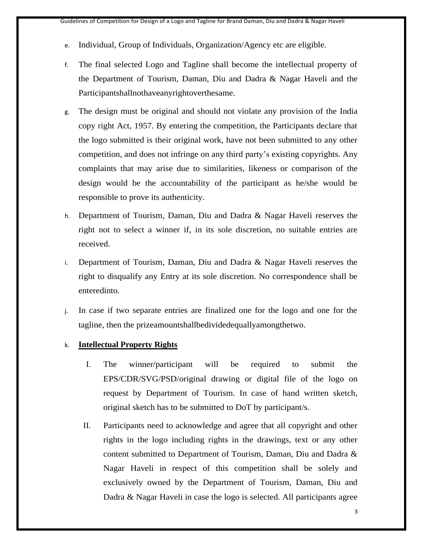- e. Individual, Group of Individuals, Organization/Agency etc are eligible.
- f. The final selected Logo and Tagline shall become the intellectual property of the Department of Tourism, Daman, Diu and Dadra & Nagar Haveli and the Participantshallnothaveanyrightoverthesame.
- g. The design must be original and should not violate any provision of the India copy right Act, 1957. By entering the competition, the Participants declare that the logo submitted is their original work, have not been submitted to any other competition, and does not infringe on any third party's existing copyrights. Any complaints that may arise due to similarities, likeness or comparison of the design would be the accountability of the participant as he/she would be responsible to prove its authenticity.
- h. Department of Tourism, Daman, Diu and Dadra & Nagar Haveli reserves the right not to select a winner if, in its sole discretion, no suitable entries are received.
- i. Department of Tourism, Daman, Diu and Dadra & Nagar Haveli reserves the right to disqualify any Entry at its sole discretion. No correspondence shall be enteredinto.
- j. In case if two separate entries are finalized one for the logo and one for the tagline, then the prizeamountshallbedividedequallyamongthetwo.
- k. **Intellectual Property Rights**
	- I. The winner/participant will be required to submit the EPS/CDR/SVG/PSD/original drawing or digital file of the logo on request by Department of Tourism. In case of hand written sketch, original sketch has to be submitted to DoT by participant/s.
	- II. Participants need to acknowledge and agree that all copyright and other rights in the logo including rights in the drawings, text or any other content submitted to Department of Tourism, Daman, Diu and Dadra & Nagar Haveli in respect of this competition shall be solely and exclusively owned by the Department of Tourism, Daman, Diu and Dadra & Nagar Haveli in case the logo is selected. All participants agree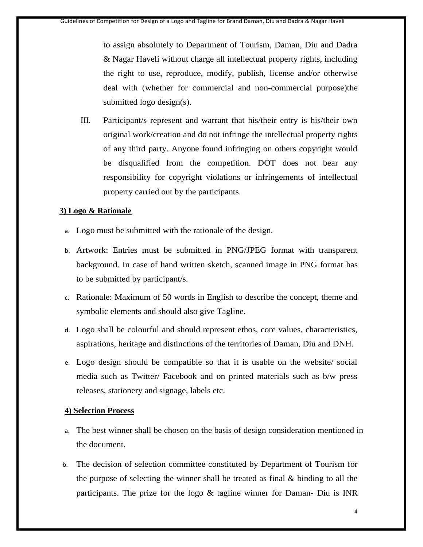to assign absolutely to Department of Tourism, Daman, Diu and Dadra & Nagar Haveli without charge all intellectual property rights, including the right to use, reproduce, modify, publish, license and/or otherwise deal with (whether for commercial and non-commercial purpose)the submitted logo design(s).

III. Participant/s represent and warrant that his/their entry is his/their own original work/creation and do not infringe the intellectual property rights of any third party. Anyone found infringing on others copyright would be disqualified from the competition. DOT does not bear any responsibility for copyright violations or infringements of intellectual property carried out by the participants.

# **3) Logo & Rationale**

- a. Logo must be submitted with the rationale of the design.
- b. Artwork: Entries must be submitted in PNG/JPEG format with transparent background. In case of hand written sketch, scanned image in PNG format has to be submitted by participant/s.
- c. Rationale: Maximum of 50 words in English to describe the concept, theme and symbolic elements and should also give Tagline.
- d. Logo shall be colourful and should represent ethos, core values, characteristics, aspirations, heritage and distinctions of the territories of Daman, Diu and DNH.
- e. Logo design should be compatible so that it is usable on the website/ social media such as Twitter/ Facebook and on printed materials such as b/w press releases, stationery and signage, labels etc.

## **4) Selection Process**

- a. The best winner shall be chosen on the basis of design consideration mentioned in the document.
- b. The decision of selection committee constituted by Department of Tourism for the purpose of selecting the winner shall be treated as final & binding to all the participants. The prize for the logo & tagline winner for Daman- Diu is INR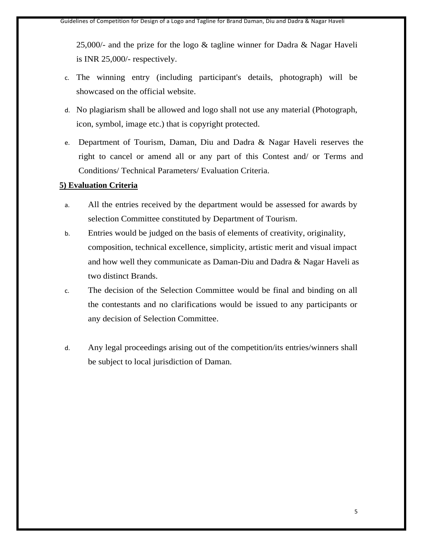25,000/- and the prize for the logo & tagline winner for Dadra & Nagar Haveli is INR 25,000/- respectively.

- c. The winning entry (including participant's details, photograph) will be showcased on the official website.
- d. No plagiarism shall be allowed and logo shall not use any material (Photograph, icon, symbol, image etc.) that is copyright protected.
- e. Department of Tourism, Daman, Diu and Dadra & Nagar Haveli reserves the right to cancel or amend all or any part of this Contest and/ or Terms and Conditions/ Technical Parameters/ Evaluation Criteria.

### **5) Evaluation Criteria**

- a. All the entries received by the department would be assessed for awards by selection Committee constituted by Department of Tourism.
- b. Entries would be judged on the basis of elements of creativity, originality, composition, technical excellence, simplicity, artistic merit and visual impact and how well they communicate as Daman-Diu and Dadra & Nagar Haveli as two distinct Brands.
- c. The decision of the Selection Committee would be final and binding on all the contestants and no clarifications would be issued to any participants or any decision of Selection Committee.
- d. Any legal proceedings arising out of the competition/its entries/winners shall be subject to local jurisdiction of Daman.